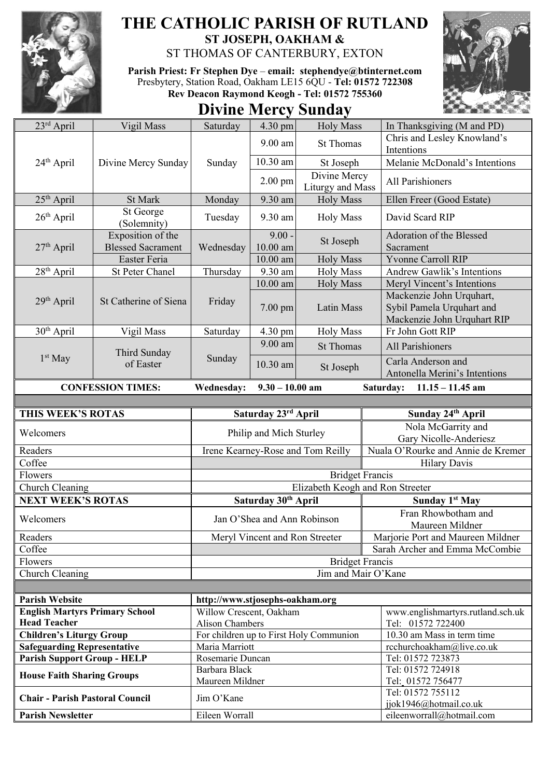

## **THE CATHOLIC PARISH OF RUTLAND ST JOSEPH, OAKHAM &**

ST THOMAS OF CANTERBURY, EXTON

**Parish Priest: Fr Stephen Dye** – **[email: stephendye@btinternet.com](mailto:email:%20%20stephendye@btinternet.com)** Presbytery, Station Road, Oakham LE15 6QU - **Tel: 01572 722308 Rev Deacon Raymond Keogh - Tel: 01572 755360**

## **Divine Mercy Sunday**



| $23rd$ April                           | Vigil Mass                | Saturday                           | 4.30 pm                        | <b>Holy Mass</b>                        | In Thanksgiving (M and PD)                                                           |
|----------------------------------------|---------------------------|------------------------------------|--------------------------------|-----------------------------------------|--------------------------------------------------------------------------------------|
| 24 <sup>th</sup> April                 | Divine Mercy Sunday       | Sunday                             | 9.00 am                        | <b>St Thomas</b>                        | Chris and Lesley Knowland's                                                          |
|                                        |                           |                                    |                                |                                         | Intentions                                                                           |
|                                        |                           |                                    | 10.30 am                       | St Joseph                               | Melanie McDonald's Intentions                                                        |
|                                        |                           |                                    | $2.00$ pm                      | Divine Mercy<br>Liturgy and Mass        | All Parishioners                                                                     |
| 25 <sup>th</sup> April                 | St Mark                   | Monday                             | 9.30 am                        | <b>Holy Mass</b>                        | Ellen Freer (Good Estate)                                                            |
| $26th$ April                           | St George<br>(Solemnity)  | Tuesday                            | 9.30 am                        | <b>Holy Mass</b>                        | David Scard RIP                                                                      |
| $27th$ April                           | Exposition of the         | Wednesday                          | $9.00 -$                       | St Joseph                               | Adoration of the Blessed                                                             |
|                                        | <b>Blessed Sacrament</b>  |                                    | $10.00$ am                     |                                         | Sacrament                                                                            |
|                                        | Easter Feria              |                                    | $10.00$ am                     | <b>Holy Mass</b>                        | <b>Yvonne Carroll RIP</b>                                                            |
| 28 <sup>th</sup> April                 | St Peter Chanel           | Thursday                           | 9.30 am                        | <b>Holy Mass</b>                        | Andrew Gawlik's Intentions                                                           |
|                                        |                           |                                    | 10.00 am                       | <b>Holy Mass</b>                        | Meryl Vincent's Intentions                                                           |
| 29th April                             | St Catherine of Siena     | Friday                             | 7.00 pm                        | Latin Mass                              | Mackenzie John Urquhart,<br>Sybil Pamela Urquhart and<br>Mackenzie John Urquhart RIP |
| 30 <sup>th</sup> April                 | Vigil Mass                | Saturday                           | 4.30 pm                        | <b>Holy Mass</b>                        | Fr John Gott RIP                                                                     |
|                                        | Third Sunday<br>of Easter | Sunday                             | 9.00 am                        | <b>St Thomas</b>                        | All Parishioners                                                                     |
| $1st$ May                              |                           |                                    | 10.30 am                       | St Joseph                               | Carla Anderson and                                                                   |
|                                        |                           |                                    |                                |                                         | Antonella Merini's Intentions                                                        |
|                                        | <b>CONFESSION TIMES:</b>  | <b>Wednesday:</b>                  | $9.30 - 10.00$ am              |                                         | $11.15 - 11.45$ am<br>Saturday:                                                      |
|                                        |                           |                                    |                                |                                         |                                                                                      |
| THIS WEEK'S ROTAS                      |                           |                                    | Saturday 23rd April            |                                         | Sunday 24th April                                                                    |
| Welcomers                              |                           | Philip and Mich Sturley            |                                |                                         | Nola McGarrity and<br>Gary Nicolle-Anderiesz                                         |
| Readers                                |                           | Irene Kearney-Rose and Tom Reilly  |                                |                                         | Nuala O'Rourke and Annie de Kremer                                                   |
| Coffee                                 |                           |                                    |                                |                                         |                                                                                      |
|                                        |                           |                                    |                                |                                         |                                                                                      |
|                                        |                           |                                    |                                |                                         | <b>Hilary Davis</b>                                                                  |
| Flowers                                |                           |                                    |                                | <b>Bridget Francis</b>                  |                                                                                      |
| Church Cleaning                        |                           |                                    |                                | Elizabeth Keogh and Ron Streeter        |                                                                                      |
| <b>NEXT WEEK'S ROTAS</b>               |                           |                                    | Saturday 30th April            |                                         | Sunday 1 <sup>st</sup> May<br>Fran Rhowbotham and                                    |
| Welcomers                              |                           |                                    | Jan O'Shea and Ann Robinson    |                                         | Maureen Mildner                                                                      |
| Readers                                |                           |                                    | Meryl Vincent and Ron Streeter |                                         | Marjorie Port and Maureen Mildner                                                    |
| Coffee                                 |                           |                                    |                                |                                         | Sarah Archer and Emma McCombie                                                       |
| Flowers                                |                           |                                    |                                | <b>Bridget Francis</b>                  |                                                                                      |
| Church Cleaning                        |                           |                                    |                                | Jim and Mair O'Kane                     |                                                                                      |
|                                        |                           |                                    |                                |                                         |                                                                                      |
| <b>Parish Website</b>                  |                           | http://www.stjosephs-oakham.org    |                                |                                         |                                                                                      |
| <b>English Martyrs Primary School</b>  |                           | Willow Crescent, Oakham            |                                |                                         | www.englishmartyrs.rutland.sch.uk                                                    |
| <b>Head Teacher</b>                    |                           | <b>Alison Chambers</b>             |                                |                                         | Tel: 01572 722400                                                                    |
| <b>Children's Liturgy Group</b>        |                           |                                    |                                | For children up to First Holy Communion | 10.30 am Mass in term time                                                           |
| <b>Safeguarding Representative</b>     |                           | Maria Marriott<br>Rosemarie Duncan |                                |                                         | rcchurchoakham@live.co.uk                                                            |
| <b>Parish Support Group - HELP</b>     |                           | Barbara Black                      |                                |                                         | Tel: 01572 723873<br>Tel: 01572 724918                                               |
| <b>House Faith Sharing Groups</b>      |                           | Maureen Mildner                    |                                |                                         | Tel: 01572 756477                                                                    |
| <b>Chair - Parish Pastoral Council</b> |                           | Jim O'Kane                         |                                |                                         | Tel: 01572 755112<br>jjok1946@hotmail.co.uk                                          |